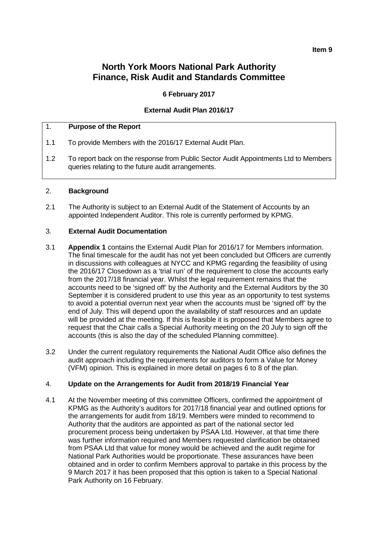# **North York Moors National Park Authority Finance, Risk Audit and Standards Committee**

### **6 February 2017**

### **External Audit Plan 2016/17**

### 1. **Purpose of the Report**

- 1.1 To provide Members with the 2016/17 External Audit Plan.
- 1.2 To report back on the response from Public Sector Audit Appointments Ltd to Members queries relating to the future audit arrangements.

#### 2. **Background**

2.1 The Authority is subject to an External Audit of the Statement of Accounts by an appointed Independent Auditor. This role is currently performed by KPMG.

### 3. **External Audit Documentation**

- 3.1 **Appendix 1** contains the External Audit Plan for 2016/17 for Members information. The final timescale for the audit has not yet been concluded but Officers are currently in discussions with colleagues at NYCC and KPMG regarding the feasibility of using the 2016/17 Closedown as a 'trial run' of the requirement to close the accounts early from the 2017/18 financial year. Whilst the legal requirement remains that the accounts need to be 'signed off' by the Authority and the External Auditors by the 30 September it is considered prudent to use this year as an opportunity to test systems to avoid a potential overrun next year when the accounts must be 'signed off' by the end of July. This will depend upon the availability of staff resources and an update will be provided at the meeting. If this is feasible it is proposed that Members agree to request that the Chair calls a Special Authority meeting on the 20 July to sign off the accounts (this is also the day of the scheduled Planning committee).
- 3.2 Under the current regulatory requirements the National Audit Office also defines the audit approach including the requirements for auditors to form a Value for Money (VFM) opinion. This is explained in more detail on pages 6 to 8 of the plan.

### 4. **Update on the Arrangements for Audit from 2018/19 Financial Year**

4.1 At the November meeting of this committee Officers, confirmed the appointment of KPMG as the Authority's auditors for 2017/18 financial year and outlined options for the arrangements for audit from 18/19. Members were minded to recommend to Authority that the auditors are appointed as part of the national sector led procurement process being undertaken by PSAA Ltd. However, at that time there was further information required and Members requested clarification be obtained from PSAA Ltd that value for money would be achieved and the audit regime for National Park Authorities would be proportionate. These assurances have been obtained and in order to confirm Members approval to partake in this process by the 9 March 2017 it has been proposed that this option is taken to a Special National Park Authority on 16 February.